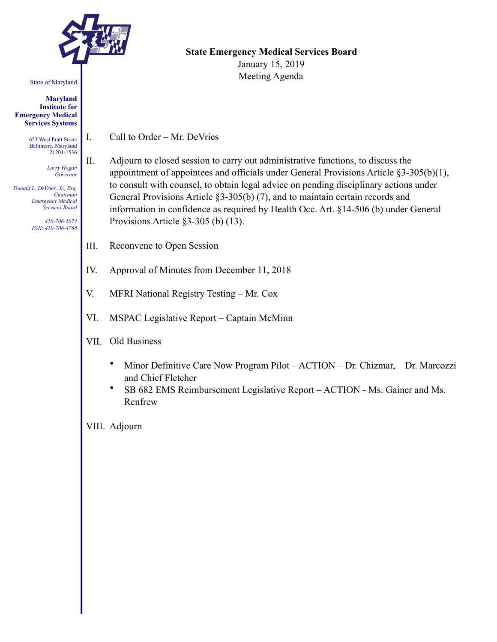

State of Maryland

#### **Maryland Institute for Emergency Medical Services Systems**

653 West Pratt Street Baltimore, Maryland 21201-1536

> *Larry Hogan Governor*

*Donald L. DeVries, Jr., Esq. Chairman Emergency Medical Services Board* 

> *410-706-5074 FAX: 410-706-4768*

### **State Emergency Medical Services Board**  January 15, 2019

Meeting Agenda

- I. Call to Order Mr. DeVries
- II. Adjourn to closed session to carry out administrative functions, to discuss the appointment of appointees and officials under General Provisions Article §3-305(b)(1), to consult with counsel, to obtain legal advice on pending disciplinary actions under General Provisions Article §3-305(b) (7), and to maintain certain records and information in confidence as required by Health Occ. Art. §14-506 (b) under General Provisions Article §3-305 (b) (13).
- III. Reconvene to Open Session
- IV. Approval of Minutes from December 11, 2018
- V. MFRI National Registry Testing Mr. Cox
- VI. MSPAC Legislative Report Captain McMinn
- VII. Old Business
	- Minor Definitive Care Now Program Pilot ACTION Dr. Chizmar, Dr. Marcozzi and Chief Fletcher
	- SB 682 EMS Reimbursement Legislative Report ACTION Ms. Gainer and Ms. Renfrew

VIII. Adjourn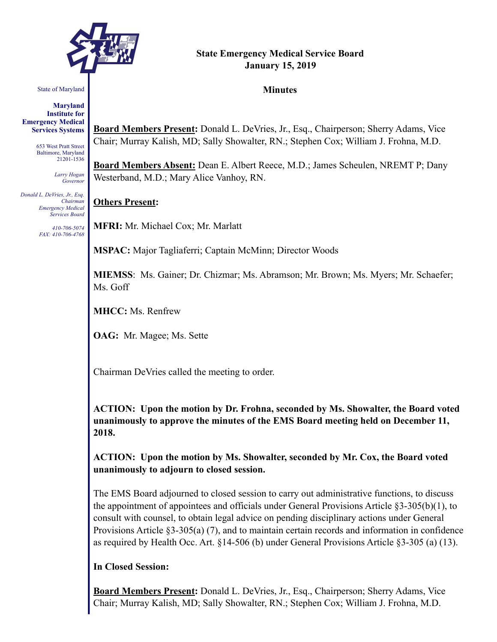

## **State Emergency Medical Service Board January 15, 2019**

#### **Minutes**

State of Maryland

**Maryland Institute for Emergency Medical Services Systems** 

> 653 West Pratt Street Baltimore, Maryland 21201-1536

> > *Larry Hogan Governor*

*Donald L. DeVries, Jr., Esq. Chairman Emergency Medical Services Board* 

> *410-706-5074 FAX: 410-706-4768*

**Board Members Present:** Donald L. DeVries, Jr., Esq., Chairperson; Sherry Adams, Vice Chair; Murray Kalish, MD; Sally Showalter, RN.; Stephen Cox; William J. Frohna, M.D.

**Board Members Absent:** Dean E. Albert Reece, M.D.; James Scheulen, NREMT P; Dany Westerband, M.D.; Mary Alice Vanhoy, RN.

## **Others Present:**

**MFRI:** Mr. Michael Cox; Mr. Marlatt

**MSPAC:** Major Tagliaferri; Captain McMinn; Director Woods

**MIEMSS**: Ms. Gainer; Dr. Chizmar; Ms. Abramson; Mr. Brown; Ms. Myers; Mr. Schaefer; Ms. Goff

**MHCC:** Ms. Renfrew

**OAG:** Mr. Magee; Ms. Sette

Chairman DeVries called the meeting to order.

**ACTION: Upon the motion by Dr. Frohna, seconded by Ms. Showalter, the Board voted unanimously to approve the minutes of the EMS Board meeting held on December 11, 2018.** 

**ACTION: Upon the motion by Ms. Showalter, seconded by Mr. Cox, the Board voted unanimously to adjourn to closed session.** 

The EMS Board adjourned to closed session to carry out administrative functions, to discuss the appointment of appointees and officials under General Provisions Article §3-305(b)(1), to consult with counsel, to obtain legal advice on pending disciplinary actions under General Provisions Article §3-305(a) (7), and to maintain certain records and information in confidence as required by Health Occ. Art. §14-506 (b) under General Provisions Article §3-305 (a) (13).

## **In Closed Session:**

**Board Members Present:** Donald L. DeVries, Jr., Esq., Chairperson; Sherry Adams, Vice Chair; Murray Kalish, MD; Sally Showalter, RN.; Stephen Cox; William J. Frohna, M.D.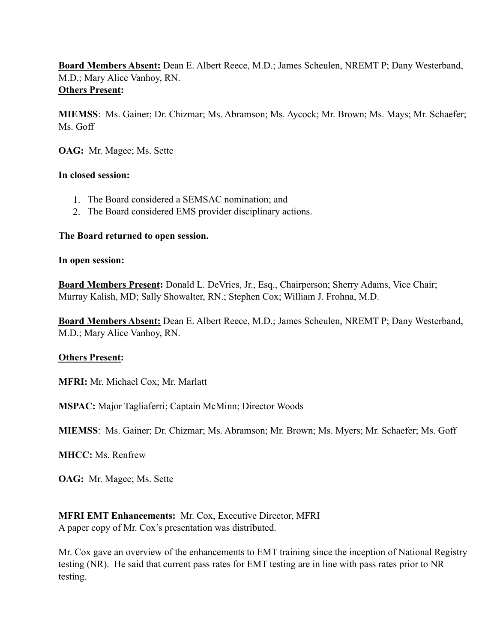**Board Members Absent:** Dean E. Albert Reece, M.D.; James Scheulen, NREMT P; Dany Westerband, M.D.; Mary Alice Vanhoy, RN. **Others Present:**

**MIEMSS**: Ms. Gainer; Dr. Chizmar; Ms. Abramson; Ms. Aycock; Mr. Brown; Ms. Mays; Mr. Schaefer; Ms. Goff

**OAG:** Mr. Magee; Ms. Sette

### **In closed session:**

- 1. The Board considered a SEMSAC nomination; and
- 2. The Board considered EMS provider disciplinary actions.

### **The Board returned to open session.**

#### **In open session:**

**Board Members Present:** Donald L. DeVries, Jr., Esq., Chairperson; Sherry Adams, Vice Chair; Murray Kalish, MD; Sally Showalter, RN.; Stephen Cox; William J. Frohna, M.D.

**Board Members Absent:** Dean E. Albert Reece, M.D.; James Scheulen, NREMT P; Dany Westerband, M.D.; Mary Alice Vanhoy, RN.

## **Others Present:**

**MFRI:** Mr. Michael Cox; Mr. Marlatt

**MSPAC:** Major Tagliaferri; Captain McMinn; Director Woods

**MIEMSS**: Ms. Gainer; Dr. Chizmar; Ms. Abramson; Mr. Brown; Ms. Myers; Mr. Schaefer; Ms. Goff

**MHCC:** Ms. Renfrew

**OAG:** Mr. Magee; Ms. Sette

**MFRI EMT Enhancements:** Mr. Cox, Executive Director, MFRI A paper copy of Mr. Cox's presentation was distributed.

Mr. Cox gave an overview of the enhancements to EMT training since the inception of National Registry testing (NR). He said that current pass rates for EMT testing are in line with pass rates prior to NR testing.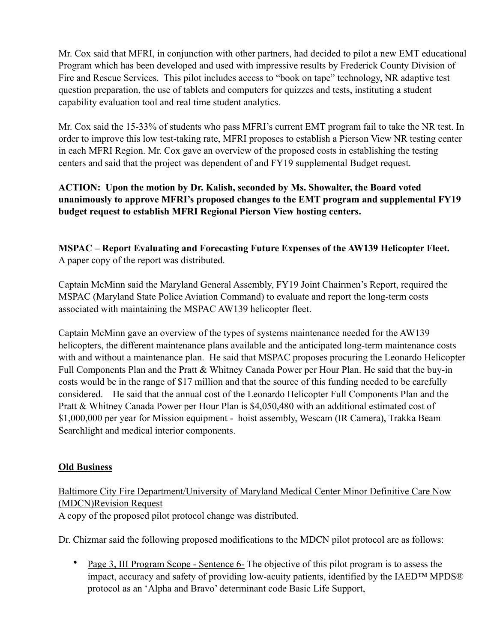Mr. Cox said that MFRI, in conjunction with other partners, had decided to pilot a new EMT educational Program which has been developed and used with impressive results by Frederick County Division of Fire and Rescue Services. This pilot includes access to "book on tape" technology, NR adaptive test question preparation, the use of tablets and computers for quizzes and tests, instituting a student capability evaluation tool and real time student analytics.

Mr. Cox said the 15-33% of students who pass MFRI's current EMT program fail to take the NR test. In order to improve this low test-taking rate, MFRI proposes to establish a Pierson View NR testing center in each MFRI Region. Mr. Cox gave an overview of the proposed costs in establishing the testing centers and said that the project was dependent of and FY19 supplemental Budget request.

## **ACTION: Upon the motion by Dr. Kalish, seconded by Ms. Showalter, the Board voted unanimously to approve MFRI's proposed changes to the EMT program and supplemental FY19 budget request to establish MFRI Regional Pierson View hosting centers.**

**MSPAC – Report Evaluating and Forecasting Future Expenses of the AW139 Helicopter Fleet.**  A paper copy of the report was distributed.

Captain McMinn said the Maryland General Assembly, FY19 Joint Chairmen's Report, required the MSPAC (Maryland State Police Aviation Command) to evaluate and report the long-term costs associated with maintaining the MSPAC AW139 helicopter fleet.

Captain McMinn gave an overview of the types of systems maintenance needed for the AW139 helicopters, the different maintenance plans available and the anticipated long-term maintenance costs with and without a maintenance plan. He said that MSPAC proposes procuring the Leonardo Helicopter Full Components Plan and the Pratt & Whitney Canada Power per Hour Plan. He said that the buy-in costs would be in the range of \$17 million and that the source of this funding needed to be carefully considered. He said that the annual cost of the Leonardo Helicopter Full Components Plan and the Pratt & Whitney Canada Power per Hour Plan is \$4,050,480 with an additional estimated cost of \$1,000,000 per year for Mission equipment - hoist assembly, Wescam (IR Camera), Trakka Beam Searchlight and medical interior components.

## **Old Business**

# Baltimore City Fire Department/University of Maryland Medical Center Minor Definitive Care Now (MDCN)Revision Request

A copy of the proposed pilot protocol change was distributed.

Dr. Chizmar said the following proposed modifications to the MDCN pilot protocol are as follows:

Page 3, III Program Scope - Sentence 6- The objective of this pilot program is to assess the impact, accuracy and safety of providing low-acuity patients, identified by the IAED™ MPDS® protocol as an 'Alpha and Bravo' determinant code Basic Life Support,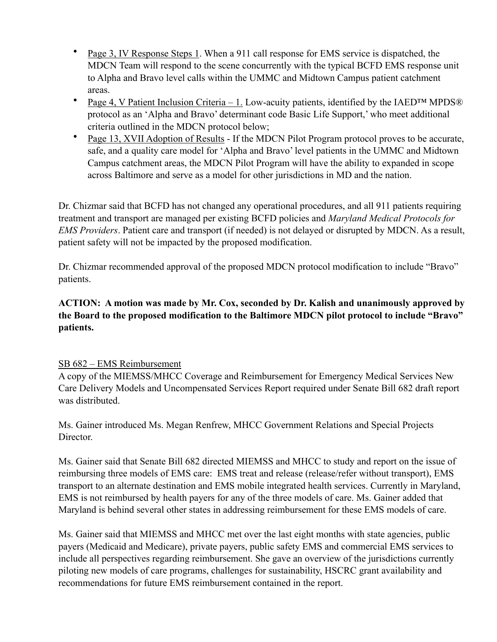- Page 3, IV Response Steps 1. When a 911 call response for EMS service is dispatched, the MDCN Team will respond to the scene concurrently with the typical BCFD EMS response unit to Alpha and Bravo level calls within the UMMC and Midtown Campus patient catchment areas.
- Page 4, V Patient Inclusion Criteria 1. Low-acuity patients, identified by the IAED<sup>TM</sup> MPDS® protocol as an 'Alpha and Bravo' determinant code Basic Life Support,' who meet additional criteria outlined in the MDCN protocol below;
- Page 13, XVII Adoption of Results If the MDCN Pilot Program protocol proves to be accurate, safe, and a quality care model for 'Alpha and Bravo' level patients in the UMMC and Midtown Campus catchment areas, the MDCN Pilot Program will have the ability to expanded in scope across Baltimore and serve as a model for other jurisdictions in MD and the nation.

Dr. Chizmar said that BCFD has not changed any operational procedures, and all 911 patients requiring treatment and transport are managed per existing BCFD policies and *Maryland Medical Protocols for EMS Providers*. Patient care and transport (if needed) is not delayed or disrupted by MDCN. As a result, patient safety will not be impacted by the proposed modification.

Dr. Chizmar recommended approval of the proposed MDCN protocol modification to include "Bravo" patients.

## **ACTION: A motion was made by Mr. Cox, seconded by Dr. Kalish and unanimously approved by the Board to the proposed modification to the Baltimore MDCN pilot protocol to include "Bravo" patients.**

## SB 682 – EMS Reimbursement

A copy of the MIEMSS/MHCC Coverage and Reimbursement for Emergency Medical Services New Care Delivery Models and Uncompensated Services Report required under Senate Bill 682 draft report was distributed.

Ms. Gainer introduced Ms. Megan Renfrew, MHCC Government Relations and Special Projects Director.

Ms. Gainer said that Senate Bill 682 directed MIEMSS and MHCC to study and report on the issue of reimbursing three models of EMS care: EMS treat and release (release/refer without transport), EMS transport to an alternate destination and EMS mobile integrated health services. Currently in Maryland, EMS is not reimbursed by health payers for any of the three models of care. Ms. Gainer added that Maryland is behind several other states in addressing reimbursement for these EMS models of care.

Ms. Gainer said that MIEMSS and MHCC met over the last eight months with state agencies, public payers (Medicaid and Medicare), private payers, public safety EMS and commercial EMS services to include all perspectives regarding reimbursement. She gave an overview of the jurisdictions currently piloting new models of care programs, challenges for sustainability, HSCRC grant availability and recommendations for future EMS reimbursement contained in the report.